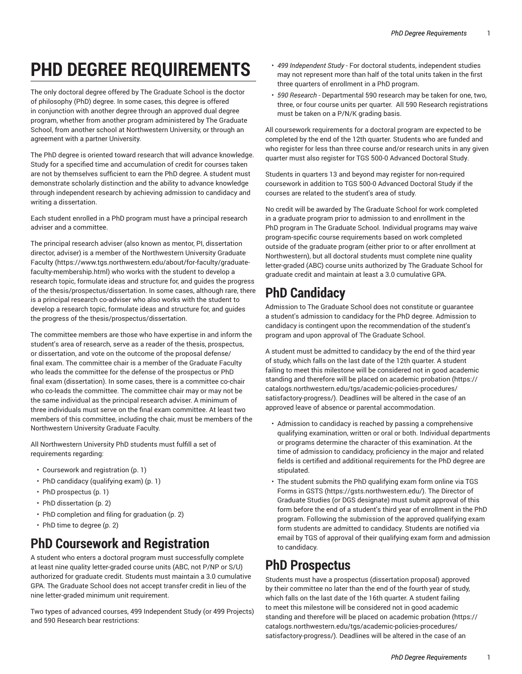# **PHD DEGREE REQUIREMENTS**

The only doctoral degree offered by The Graduate School is the doctor of philosophy (PhD) degree. In some cases, this degree is offered in conjunction with another degree through an approved dual degree program, whether from another program administered by The Graduate School, from another school at Northwestern University, or through an agreement with a partner University.

The PhD degree is oriented toward research that will advance knowledge. Study for a specified time and accumulation of credit for courses taken are not by themselves sufficient to earn the PhD degree. A student must demonstrate scholarly distinction and the ability to advance knowledge through independent research by achieving admission to candidacy and writing a dissertation.

Each student enrolled in a PhD program must have a principal research adviser and a committee.

The principal research adviser (also known as mentor, PI, dissertation director, adviser) is a member of the [Northwestern](https://www.tgs.northwestern.edu/about/for-faculty/graduate-faculty-membership.html) University Graduate [Faculty](https://www.tgs.northwestern.edu/about/for-faculty/graduate-faculty-membership.html) [\(https://www.tgs.northwestern.edu/about/for-faculty/graduate](https://www.tgs.northwestern.edu/about/for-faculty/graduate-faculty-membership.html)[faculty-membership.html](https://www.tgs.northwestern.edu/about/for-faculty/graduate-faculty-membership.html)) who works with the student to develop a research topic, formulate ideas and structure for, and guides the progress of the thesis/prospectus/dissertation. In some cases, although rare, there is a principal research co-adviser who also works with the student to develop a research topic, formulate ideas and structure for, and guides the progress of the thesis/prospectus/dissertation.

The committee members are those who have expertise in and inform the student's area of research, serve as a reader of the thesis, prospectus, or dissertation, and vote on the outcome of the proposal defense/ final exam. The committee chair is a member of the Graduate Faculty who leads the committee for the defense of the prospectus or PhD final exam (dissertation). In some cases, there is a committee co-chair who co-leads the committee. The committee chair may or may not be the same individual as the principal research adviser. A minimum of three individuals must serve on the final exam committee. At least two members of this committee, including the chair, must be members of the Northwestern University Graduate Faculty.

All Northwestern University PhD students must fulfill a set of requirements regarding:

- [Coursework](#page-0-0) and registration [\(p. 1](#page-0-0))
- [PhD candidacy \(qualifying exam\)](#page-0-1) ([p. 1\)](#page-0-1)
- PhD [prospectus](#page-0-2) ([p. 1](#page-0-2))
- PhD [dissertation \(p. 2\)](#page-1-0)
- [PhD completion and filing for graduation](#page-1-1) ([p. 2](#page-1-1))
- <span id="page-0-0"></span>• PhD time to [degree \(p. 2](#page-1-2))

### **PhD Coursework and Registration**

A student who enters a doctoral program must successfully complete at least nine quality letter-graded course units (ABC, not P/NP or S/U) authorized for graduate credit. Students must maintain a 3.0 cumulative GPA. The Graduate School does not accept transfer credit in lieu of the nine letter-graded minimum unit requirement.

Two types of advanced courses, 499 Independent Study (or 499 Projects) and 590 Research bear restrictions:

- *499 Independent Study* For doctoral students, independent studies may not represent more than half of the total units taken in the first three quarters of enrollment in a PhD program.
- *590 Research -* Departmental 590 research may be taken for one, two, three, or four course units per quarter. All 590 Research registrations must be taken on a P/N/K grading basis.

All coursework requirements for a doctoral program are expected to be completed by the end of the 12th quarter. Students who are funded and who register for less than three course and/or research units in any given quarter must also register for TGS 500-0 Advanced Doctoral Study.

Students in quarters 13 and beyond may register for non-required coursework in addition to TGS 500-0 Advanced Doctoral Study if the courses are related to the student's area of study.

No credit will be awarded by The Graduate School for work completed in a graduate program prior to admission to and enrollment in the PhD program in The Graduate School. Individual programs may waive program-specific course requirements based on work completed outside of the graduate program (either prior to or after enrollment at Northwestern), but all doctoral students must complete nine quality letter-graded (ABC) course units authorized by The Graduate School for graduate credit and maintain at least a 3.0 cumulative GPA.

## <span id="page-0-1"></span>**PhD Candidacy**

Admission to The Graduate School does not constitute or guarantee a student's admission to candidacy for the PhD degree. Admission to candidacy is contingent upon the recommendation of the student's program and upon approval of The Graduate School.

A student must be admitted to candidacy by the end of the third year of study, which falls on the last date of the 12th quarter. A student failing to meet this milestone will be considered not in good academic standing and therefore will be placed on academic [probation](https://catalogs.northwestern.edu/tgs/academic-policies-procedures/satisfactory-progress/) ([https://](https://catalogs.northwestern.edu/tgs/academic-policies-procedures/satisfactory-progress/) [catalogs.northwestern.edu/tgs/academic-policies-procedures/](https://catalogs.northwestern.edu/tgs/academic-policies-procedures/satisfactory-progress/) [satisfactory-progress/](https://catalogs.northwestern.edu/tgs/academic-policies-procedures/satisfactory-progress/)). Deadlines will be altered in the case of an approved leave of absence or parental accommodation.

- Admission to candidacy is reached by passing a comprehensive qualifying examination, written or oral or both. Individual departments or programs determine the character of this examination. At the time of admission to candidacy, proficiency in the major and related fields is certified and additional requirements for the PhD degree are stipulated.
- The student submits the PhD qualifying exam form online via TGS Forms in [GSTS](https://gsts.northwestern.edu/) ([https://gsts.northwestern.edu/\)](https://gsts.northwestern.edu/). The Director of Graduate Studies (or DGS designate) must submit approval of this form before the end of a student's third year of enrollment in the PhD program. Following the submission of the approved qualifying exam form students are admitted to candidacy. Students are notified via email by TGS of approval of their qualifying exam form and admission to candidacy.

## <span id="page-0-2"></span>**PhD Prospectus**

Students must have a prospectus (dissertation proposal) approved by their committee no later than the end of the fourth year of study, which falls on the last date of the 16th quarter. A student failing to meet this milestone will be considered not in good academic standing and therefore will be placed on academic [probation](https://catalogs.northwestern.edu/tgs/academic-policies-procedures/satisfactory-progress/) ([https://](https://catalogs.northwestern.edu/tgs/academic-policies-procedures/satisfactory-progress/) [catalogs.northwestern.edu/tgs/academic-policies-procedures/](https://catalogs.northwestern.edu/tgs/academic-policies-procedures/satisfactory-progress/) [satisfactory-progress/](https://catalogs.northwestern.edu/tgs/academic-policies-procedures/satisfactory-progress/)). Deadlines will be altered in the case of an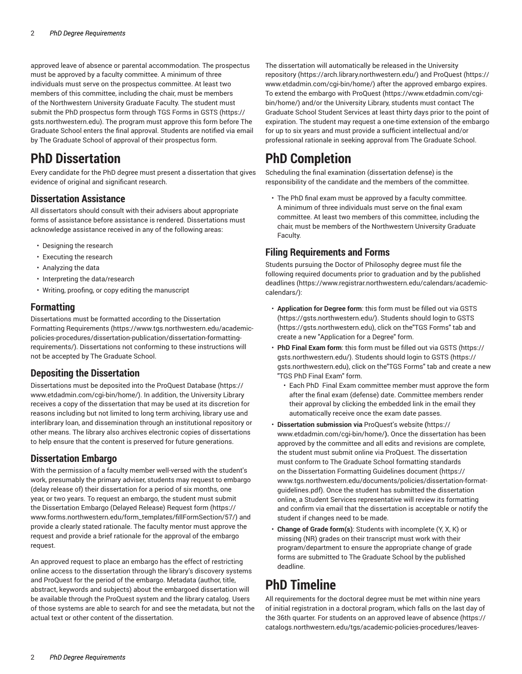approved leave of absence or parental accommodation. The prospectus must be approved by a faculty committee. A minimum of three individuals must serve on the prospectus committee. At least two members of this committee, including the chair, must be members of the Northwestern University Graduate Faculty. The student must submit the PhD prospectus form through TGS Forms in [GSTS \(https://](https://gsts.northwestern.edu) [gsts.northwestern.edu](https://gsts.northwestern.edu)). The program must approve this form before The Graduate School enters the final approval. Students are notified via email by The Graduate School of approval of their prospectus form.

### <span id="page-1-0"></span>**PhD Dissertation**

Every candidate for the PhD degree must present a dissertation that gives evidence of original and significant research.

#### **Dissertation Assistance**

All dissertators should consult with their advisers about appropriate forms of assistance before assistance is rendered. Dissertations must acknowledge assistance received in any of the following areas:

- Designing the research
- Executing the research
- Analyzing the data
- Interpreting the data/research
- Writing, proofing, or copy editing the manuscript

#### **Formatting**

Dissertations must be formatted according to the [Dissertation](https://www.tgs.northwestern.edu/academic-policies-procedures/dissertation-publication/dissertation-formatting-requirements/) Formatting [Requirements](https://www.tgs.northwestern.edu/academic-policies-procedures/dissertation-publication/dissertation-formatting-requirements/) ([https://www.tgs.northwestern.edu/academic](https://www.tgs.northwestern.edu/academic-policies-procedures/dissertation-publication/dissertation-formatting-requirements/)[policies-procedures/dissertation-publication/dissertation-formatting](https://www.tgs.northwestern.edu/academic-policies-procedures/dissertation-publication/dissertation-formatting-requirements/)[requirements/\)](https://www.tgs.northwestern.edu/academic-policies-procedures/dissertation-publication/dissertation-formatting-requirements/). Dissertations not conforming to these instructions will not be accepted by The Graduate School.

#### **Depositing the Dissertation**

Dissertations must be deposited into the ProQuest [Database \(https://](https://www.etdadmin.com/cgi-bin/home/) [www.etdadmin.com/cgi-bin/home/](https://www.etdadmin.com/cgi-bin/home/)). In addition, the University Library receives a copy of the dissertation that may be used at its discretion for reasons including but not limited to long term archiving, library use and interlibrary loan, and dissemination through an institutional repository or other means. The library also archives electronic copies of dissertations to help ensure that the content is preserved for future generations.

#### **Dissertation Embargo**

With the permission of a faculty member well-versed with the student's work, presumably the primary adviser, students may request to embargo (delay release of) their dissertation for a period of six months, one year, or two years. To request an embargo, the student must submit the [Dissertation](https://www.forms.northwestern.edu/form_templates/fillFormSection/57/) Embargo (Delayed Release) Request form [\(https://](https://www.forms.northwestern.edu/form_templates/fillFormSection/57/) [www.forms.northwestern.edu/form\\_templates/fillFormSection/57/](https://www.forms.northwestern.edu/form_templates/fillFormSection/57/)) and provide a clearly stated rationale. The faculty mentor must approve the request and provide a brief rationale for the approval of the embargo request.

An approved request to place an embargo has the effect of restricting online access to the dissertation through the library's discovery systems and ProQuest for the period of the embargo. Metadata (author, title, abstract, keywords and subjects) about the embargoed dissertation will be available through the ProQuest system and the library catalog. Users of those systems are able to search for and see the metadata, but not the actual text or other content of the dissertation.

The dissertation will automatically be released in the [University](https://arch.library.northwestern.edu/) [repository \(https://arch.library.northwestern.edu/](https://arch.library.northwestern.edu/)) and [ProQuest](https://www.etdadmin.com/cgi-bin/home/) ([https://](https://www.etdadmin.com/cgi-bin/home/) [www.etdadmin.com/cgi-bin/home/](https://www.etdadmin.com/cgi-bin/home/)) after the approved embargo expires. To extend the embargo with [ProQuest \(https://www.etdadmin.com/cgi](https://www.etdadmin.com/cgi-bin/home/)[bin/home/](https://www.etdadmin.com/cgi-bin/home/)) and/or the University Library, students must contact The Graduate School Student [Services](mailto:gradservices@northwestern.edu) at least thirty days prior to the point of expiration. The student may request a one-time extension of the embargo for up to six years and must provide a sufficient intellectual and/or professional rationale in seeking approval from The Graduate School.

### <span id="page-1-1"></span>**PhD Completion**

Scheduling the final examination (dissertation defense) is the responsibility of the candidate and the members of the committee.

• The PhD final exam must be approved by a faculty committee. A minimum of three individuals must serve on the final exam committee. At least two members of this committee, including the chair, must be members of the Northwestern University Graduate Faculty.

#### **Filing Requirements and Forms**

Students pursuing the Doctor of Philosophy degree must file the following required documents prior to graduation and by the [published](https://www.registrar.northwestern.edu/calendars/academic-calendars/) [deadlines](https://www.registrar.northwestern.edu/calendars/academic-calendars/) ([https://www.registrar.northwestern.edu/calendars/academic](https://www.registrar.northwestern.edu/calendars/academic-calendars/)[calendars/\)](https://www.registrar.northwestern.edu/calendars/academic-calendars/):

- **Application for Degree form**: this form must be filled out via [GSTS](https://gsts.northwestern.edu/) [\(https://gsts.northwestern.edu/\)](https://gsts.northwestern.edu/). Students should login to [GSTS](https://gsts.northwestern.edu) [\(https://gsts.northwestern.edu\)](https://gsts.northwestern.edu), click on the"TGS Forms" tab and create a new "Application for a Degree" form.
- **PhD Final Exam form**: this form must be filled out via [GSTS](https://gsts.northwestern.edu/) ([https://](https://gsts.northwestern.edu/) [gsts.northwestern.edu/\)](https://gsts.northwestern.edu/). Students should login to [GSTS](https://gsts.northwestern.edu) [\(https://](https://gsts.northwestern.edu) [gsts.northwestern.edu\)](https://gsts.northwestern.edu), click on the"TGS Forms" tab and create a new "TGS PhD Final Exam" form.
	- Each PhD Final Exam committee member must approve the form after the final exam (defense) date. Committee members render their approval by clicking the embedded link in the email they automatically receive once the exam date passes.
- **Dissertation submission via** [ProQuest's](https://www.etdadmin.com/cgi-bin/home/) website **(**[https://](https://www.etdadmin.com/cgi-bin/home/) [www.etdadmin.com/cgi-bin/home/](https://www.etdadmin.com/cgi-bin/home/)**).** Once the dissertation has been approved by the committee and all edits and revisions are complete, the student must submit online via ProQuest. The dissertation must conform to The Graduate School formatting standards on the [Dissertation](https://www.tgs.northwestern.edu/documents/policies/dissertation-format-guidelines.pdf) Formatting Guidelines document [\(https://](https://www.tgs.northwestern.edu/documents/policies/dissertation-format-guidelines.pdf) [www.tgs.northwestern.edu/documents/policies/dissertation-format](https://www.tgs.northwestern.edu/documents/policies/dissertation-format-guidelines.pdf)[guidelines.pdf](https://www.tgs.northwestern.edu/documents/policies/dissertation-format-guidelines.pdf)). Once the student has submitted the dissertation online, a Student Services representative will review its formatting and confirm via email that the dissertation is acceptable or notify the student if changes need to be made.
- **Change of Grade form(s)**: Students with incomplete (Y, X, K) or missing (NR) grades on their transcript must work with their program/department to ensure the appropriate change of grade forms are submitted to The Graduate School by the published deadline.

# <span id="page-1-2"></span>**PhD Timeline**

All requirements for the doctoral degree must be met within nine years of initial registration in a doctoral program, which falls on the last day of the 36th quarter. For students on an approved leave of [absence](https://catalogs.northwestern.edu/tgs/academic-policies-procedures/leaves-absence/) ([https://](https://catalogs.northwestern.edu/tgs/academic-policies-procedures/leaves-absence/) [catalogs.northwestern.edu/tgs/academic-policies-procedures/leaves-](https://catalogs.northwestern.edu/tgs/academic-policies-procedures/leaves-absence/)